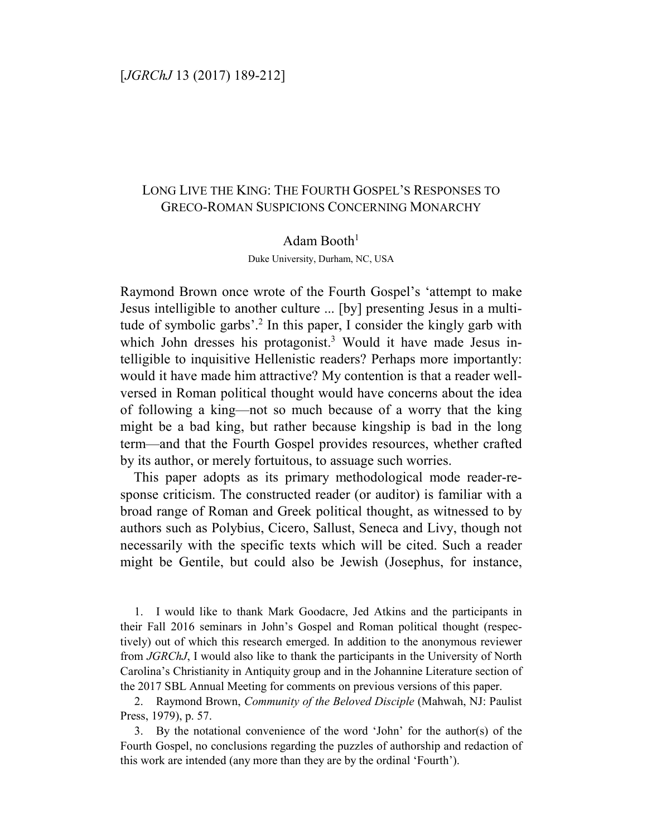## [*JGRChJ* 13 (2017) 189-212]

# LONG LIVE THE KING: THE FOURTH GOSPEL'S RESPONSES TO GRECO-ROMAN SUSPICIONS CONCERNING MONARCHY

#### Adam Booth $1$

Duke University, Durham, NC, USA

Raymond Brown once wrote of the Fourth Gospel's 'attempt to make Jesus intelligible to another culture ... [by] presenting Jesus in a multitude of symbolic garbs'.<sup>2</sup> In this paper, I consider the kingly garb with which John dresses his protagonist.<sup>3</sup> Would it have made Jesus intelligible to inquisitive Hellenistic readers? Perhaps more importantly: would it have made him attractive? My contention is that a reader wellversed in Roman political thought would have concerns about the idea of following a king—not so much because of a worry that the king might be a bad king, but rather because kingship is bad in the long term—and that the Fourth Gospel provides resources, whether crafted by its author, or merely fortuitous, to assuage such worries.

This paper adopts as its primary methodological mode reader-response criticism. The constructed reader (or auditor) is familiar with a broad range of Roman and Greek political thought, as witnessed to by authors such as Polybius, Cicero, Sallust, Seneca and Livy, though not necessarily with the specific texts which will be cited. Such a reader might be Gentile, but could also be Jewish (Josephus, for instance,

1. I would like to thank Mark Goodacre, Jed Atkins and the participants in their Fall 2016 seminars in John's Gospel and Roman political thought (respectively) out of which this research emerged. In addition to the anonymous reviewer from *JGRChJ*, I would also like to thank the participants in the University of North Carolina's Christianity in Antiquity group and in the Johannine Literature section of the 2017 SBL Annual Meeting for comments on previous versions of this paper.

2. Raymond Brown, *Community of the Beloved Disciple* (Mahwah, NJ: Paulist Press, 1979), p. 57.

3. By the notational convenience of the word 'John' for the author(s) of the Fourth Gospel, no conclusions regarding the puzzles of authorship and redaction of this work are intended (any more than they are by the ordinal 'Fourth').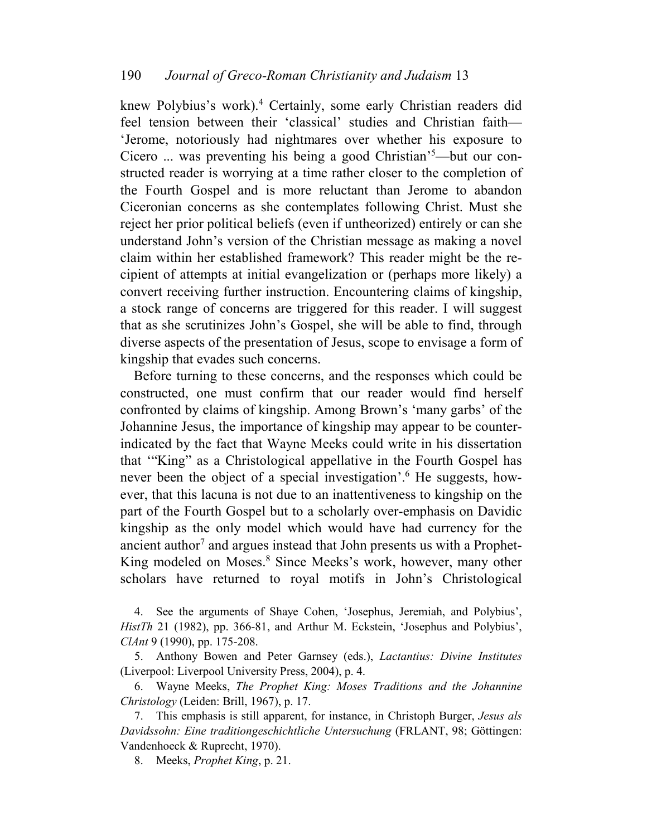knew Polybius's work).<sup>4</sup> Certainly, some early Christian readers did feel tension between their 'classical' studies and Christian faith— 'Jerome, notoriously had nightmares over whether his exposure to Cicero ... was preventing his being a good Christian'5—but our constructed reader is worrying at a time rather closer to the completion of the Fourth Gospel and is more reluctant than Jerome to abandon Ciceronian concerns as she contemplates following Christ. Must she reject her prior political beliefs (even if untheorized) entirely or can she understand John's version of the Christian message as making a novel claim within her established framework? This reader might be the recipient of attempts at initial evangelization or (perhaps more likely) a convert receiving further instruction. Encountering claims of kingship, a stock range of concerns are triggered for this reader. I will suggest that as she scrutinizes John's Gospel, she will be able to find, through diverse aspects of the presentation of Jesus, scope to envisage a form of kingship that evades such concerns.

Before turning to these concerns, and the responses which could be constructed, one must confirm that our reader would find herself confronted by claims of kingship. Among Brown's 'many garbs' of the Johannine Jesus, the importance of kingship may appear to be counterindicated by the fact that Wayne Meeks could write in his dissertation that '"King" as a Christological appellative in the Fourth Gospel has never been the object of a special investigation'.<sup>6</sup> He suggests, however, that this lacuna is not due to an inattentiveness to kingship on the part of the Fourth Gospel but to a scholarly over-emphasis on Davidic kingship as the only model which would have had currency for the ancient author<sup>7</sup> and argues instead that John presents us with a Prophet-King modeled on Moses.<sup>8</sup> Since Meeks's work, however, many other scholars have returned to royal motifs in John's Christological

4. See the arguments of Shaye Cohen, 'Josephus, Jeremiah, and Polybius', *HistTh* 21 (1982), pp. 366-81, and Arthur M. Eckstein, 'Josephus and Polybius', *ClAnt* 9 (1990), pp. 175-208.

5. Anthony Bowen and Peter Garnsey (eds.), *Lactantius: Divine Institutes*  (Liverpool: Liverpool University Press, 2004), p. 4.

6. Wayne Meeks, *The Prophet King: Moses Traditions and the Johannine Christology* (Leiden: Brill, 1967), p. 17.

7. This emphasis is still apparent, for instance, in Christoph Burger, *Jesus als Davidssohn: Eine traditiongeschichtliche Untersuchung* (FRLANT, 98; Göttingen: Vandenhoeck & Ruprecht, 1970).

8. Meeks, *Prophet King*, p. 21.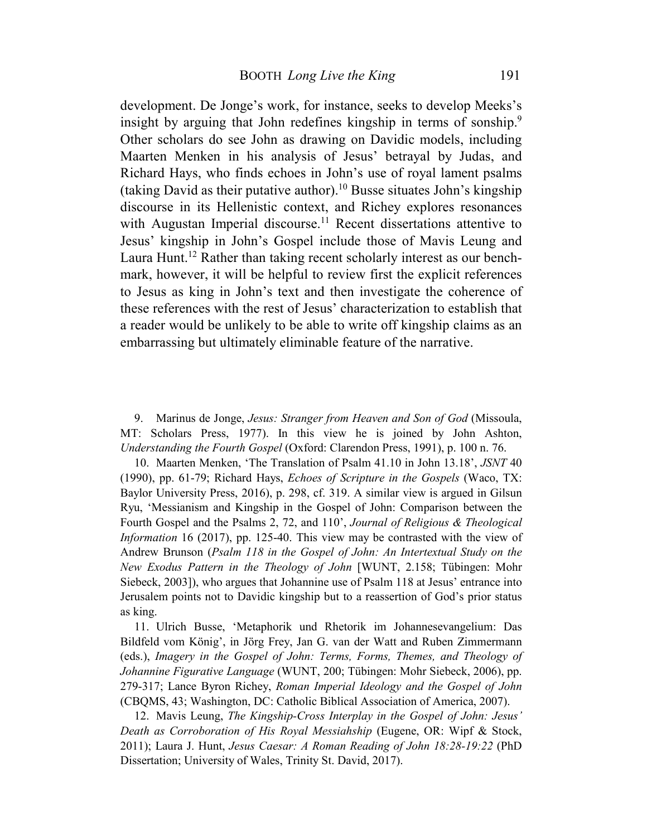development. De Jonge's work, for instance, seeks to develop Meeks's insight by arguing that John redefines kingship in terms of sonship.<sup>9</sup> Other scholars do see John as drawing on Davidic models, including Maarten Menken in his analysis of Jesus' betrayal by Judas, and Richard Hays, who finds echoes in John's use of royal lament psalms (taking David as their putative author).<sup>10</sup> Busse situates John's kingship discourse in its Hellenistic context, and Richey explores resonances with Augustan Imperial discourse.<sup>11</sup> Recent dissertations attentive to Jesus' kingship in John's Gospel include those of Mavis Leung and Laura Hunt.<sup>12</sup> Rather than taking recent scholarly interest as our benchmark, however, it will be helpful to review first the explicit references to Jesus as king in John's text and then investigate the coherence of these references with the rest of Jesus' characterization to establish that a reader would be unlikely to be able to write off kingship claims as an embarrassing but ultimately eliminable feature of the narrative.

9. Marinus de Jonge, *Jesus: Stranger from Heaven and Son of God* (Missoula, MT: Scholars Press, 1977). In this view he is joined by John Ashton, *Understanding the Fourth Gospel* (Oxford: Clarendon Press, 1991), p. 100 n. 76.

10. Maarten Menken, 'The Translation of Psalm 41.10 in John 13.18', *JSNT* 40 (1990), pp. 61-79; Richard Hays, *Echoes of Scripture in the Gospels* (Waco, TX: Baylor University Press, 2016), p. 298, cf. 319. A similar view is argued in Gilsun Ryu, 'Messianism and Kingship in the Gospel of John: Comparison between the Fourth Gospel and the Psalms 2, 72, and 110', *Journal of Religious & Theological Information* 16 (2017), pp. 125-40. This view may be contrasted with the view of Andrew Brunson (*Psalm 118 in the Gospel of John: An Intertextual Study on the New Exodus Pattern in the Theology of John* [WUNT, 2.158; Tübingen: Mohr Siebeck, 2003]), who argues that Johannine use of Psalm 118 at Jesus' entrance into Jerusalem points not to Davidic kingship but to a reassertion of God's prior status as king.

11. Ulrich Busse, 'Metaphorik und Rhetorik im Johannesevangelium: Das Bildfeld vom König', in Jörg Frey, Jan G. van der Watt and Ruben Zimmermann (eds.), *Imagery in the Gospel of John: Terms, Forms, Themes, and Theology of Johannine Figurative Language* (WUNT, 200; Tübingen: Mohr Siebeck, 2006), pp. 279-317; Lance Byron Richey, *Roman Imperial Ideology and the Gospel of John* (CBQMS, 43; Washington, DC: Catholic Biblical Association of America, 2007).

12. Mavis Leung, *The Kingship-Cross Interplay in the Gospel of John: Jesus' Death as Corroboration of His Royal Messiahship* (Eugene, OR: Wipf & Stock, 2011); Laura J. Hunt, *Jesus Caesar: A Roman Reading of John 18:28-19:22* (PhD Dissertation; University of Wales, Trinity St. David, 2017).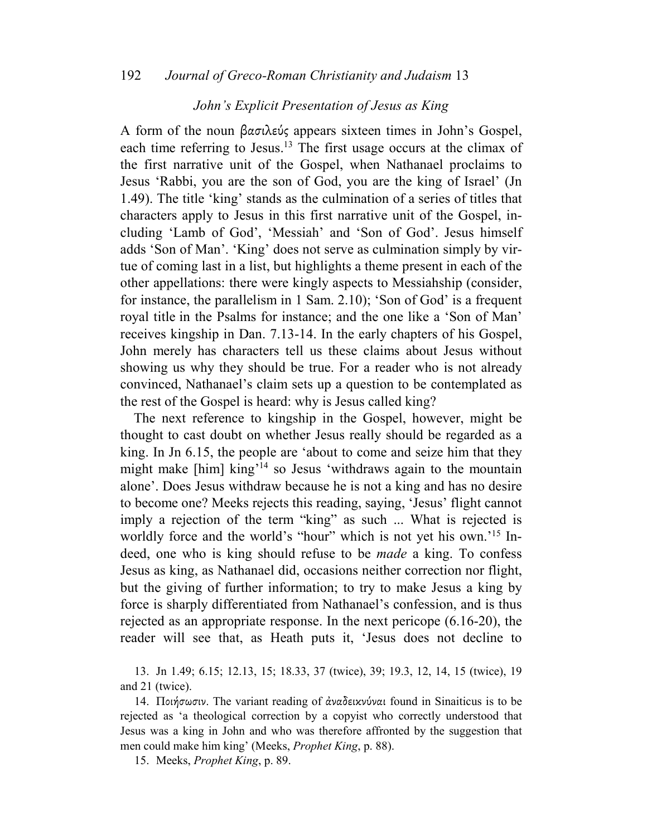## *John's Explicit Presentation of Jesus as King*

A form of the noun βασιλεύς appears sixteen times in John's Gospel, each time referring to Jesus.<sup>13</sup> The first usage occurs at the climax of the first narrative unit of the Gospel, when Nathanael proclaims to Jesus 'Rabbi, you are the son of God, you are the king of Israel' (Jn 1.49). The title 'king' stands as the culmination of a series of titles that characters apply to Jesus in this first narrative unit of the Gospel, including 'Lamb of God', 'Messiah' and 'Son of God'. Jesus himself adds 'Son of Man'. 'King' does not serve as culmination simply by virtue of coming last in a list, but highlights a theme present in each of the other appellations: there were kingly aspects to Messiahship (consider, for instance, the parallelism in 1 Sam. 2.10); 'Son of God' is a frequent royal title in the Psalms for instance; and the one like a 'Son of Man' receives kingship in Dan. 7.13-14. In the early chapters of his Gospel, John merely has characters tell us these claims about Jesus without showing us why they should be true. For a reader who is not already convinced, Nathanael's claim sets up a question to be contemplated as the rest of the Gospel is heard: why is Jesus called king?

The next reference to kingship in the Gospel, however, might be thought to cast doubt on whether Jesus really should be regarded as a king. In Jn 6.15, the people are 'about to come and seize him that they might make [him] king'<sup>14</sup> so Jesus 'withdraws again to the mountain alone'. Does Jesus withdraw because he is not a king and has no desire to become one? Meeks rejects this reading, saying, 'Jesus' flight cannot imply a rejection of the term "king" as such ... What is rejected is worldly force and the world's "hour" which is not yet his own.<sup>'15</sup> Indeed, one who is king should refuse to be *made* a king. To confess Jesus as king, as Nathanael did, occasions neither correction nor flight, but the giving of further information; to try to make Jesus a king by force is sharply differentiated from Nathanael's confession, and is thus rejected as an appropriate response. In the next pericope (6.16-20), the reader will see that, as Heath puts it, 'Jesus does not decline to

13. Jn 1.49; 6.15; 12.13, 15; 18.33, 37 (twice), 39; 19.3, 12, 14, 15 (twice), 19 and 21 (twice).

14. Ποιήσωσιν. The variant reading of ἀναδεικνύναι found in Sinaiticus is to be rejected as 'a theological correction by a copyist who correctly understood that Jesus was a king in John and who was therefore affronted by the suggestion that men could make him king' (Meeks, *Prophet King*, p. 88).

15. Meeks, *Prophet King*, p. 89.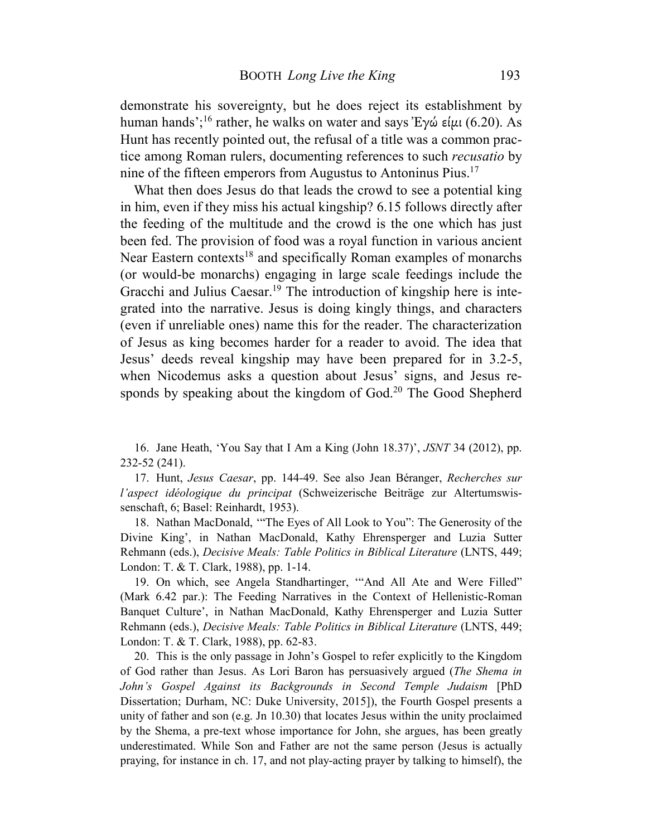demonstrate his sovereignty, but he does reject its establishment by human hands';<sup>16</sup> rather, he walks on water and says Έγώ είμι (6.20). As Hunt has recently pointed out, the refusal of a title was a common practice among Roman rulers, documenting references to such *recusatio* by nine of the fifteen emperors from Augustus to Antoninus Pius.<sup>17</sup>

What then does Jesus do that leads the crowd to see a potential king in him, even if they miss his actual kingship? 6.15 follows directly after the feeding of the multitude and the crowd is the one which has just been fed. The provision of food was a royal function in various ancient Near Eastern contexts<sup>18</sup> and specifically Roman examples of monarchs (or would-be monarchs) engaging in large scale feedings include the Gracchi and Julius Caesar.<sup>19</sup> The introduction of kingship here is integrated into the narrative. Jesus is doing kingly things, and characters (even if unreliable ones) name this for the reader. The characterization of Jesus as king becomes harder for a reader to avoid. The idea that Jesus' deeds reveal kingship may have been prepared for in 3.2-5, when Nicodemus asks a question about Jesus' signs, and Jesus responds by speaking about the kingdom of God.<sup>20</sup> The Good Shepherd

16. Jane Heath, 'You Say that I Am a King (John 18.37)', *JSNT* 34 (2012), pp. 232-52 (241).

17. Hunt, *Jesus Caesar*, pp. 144-49. See also Jean Béranger, *Recherches sur l'aspect idéologique du principat* (Schweizerische Beiträge zur Altertumswissenschaft, 6; Basel: Reinhardt, 1953).

18. Nathan MacDonald, '"The Eyes of All Look to You": The Generosity of the Divine King', in Nathan MacDonald, Kathy Ehrensperger and Luzia Sutter Rehmann (eds.), *Decisive Meals: Table Politics in Biblical Literature* (LNTS, 449; London: T. & T. Clark, 1988), pp. 1-14.

19. On which, see Angela Standhartinger, '"And All Ate and Were Filled" (Mark 6.42 par.): The Feeding Narratives in the Context of Hellenistic-Roman Banquet Culture', in Nathan MacDonald, Kathy Ehrensperger and Luzia Sutter Rehmann (eds.), *Decisive Meals: Table Politics in Biblical Literature* (LNTS, 449; London: T. & T. Clark, 1988), pp. 62-83.

20. This is the only passage in John's Gospel to refer explicitly to the Kingdom of God rather than Jesus. As Lori Baron has persuasively argued (*The Shema in John's Gospel Against its Backgrounds in Second Temple Judaism* [PhD Dissertation; Durham, NC: Duke University, 2015]), the Fourth Gospel presents a unity of father and son (e.g. Jn 10.30) that locates Jesus within the unity proclaimed by the Shema, a pre-text whose importance for John, she argues, has been greatly underestimated. While Son and Father are not the same person (Jesus is actually praying, for instance in ch. 17, and not play-acting prayer by talking to himself), the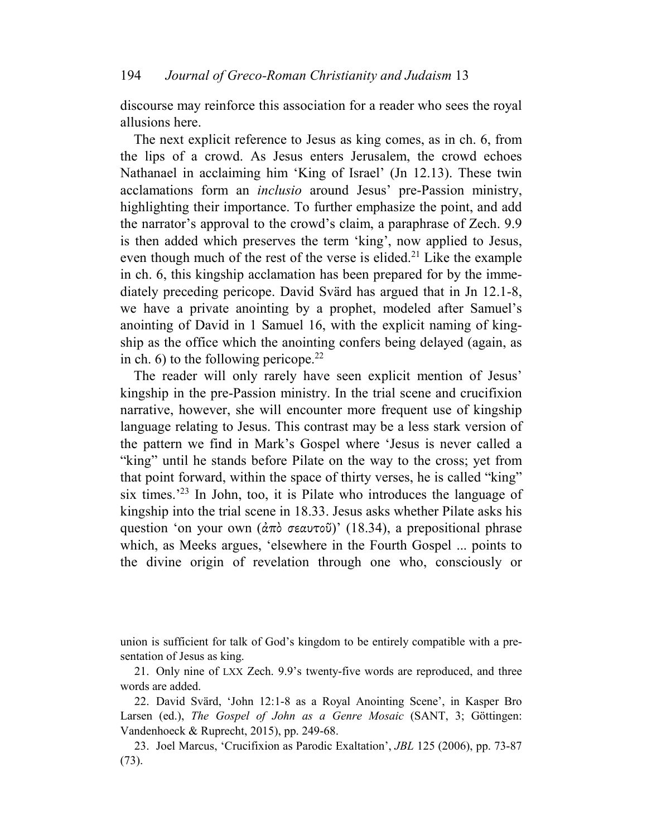discourse may reinforce this association for a reader who sees the royal allusions here.

The next explicit reference to Jesus as king comes, as in ch. 6, from the lips of a crowd. As Jesus enters Jerusalem, the crowd echoes Nathanael in acclaiming him 'King of Israel' (Jn 12.13). These twin acclamations form an *inclusio* around Jesus' pre-Passion ministry, highlighting their importance. To further emphasize the point, and add the narrator's approval to the crowd's claim, a paraphrase of Zech. 9.9 is then added which preserves the term 'king', now applied to Jesus, even though much of the rest of the verse is elided. <sup>21</sup> Like the example in ch. 6, this kingship acclamation has been prepared for by the immediately preceding pericope. David Svärd has argued that in Jn 12.1-8, we have a private anointing by a prophet, modeled after Samuel's anointing of David in 1 Samuel 16, with the explicit naming of kingship as the office which the anointing confers being delayed (again, as in ch. 6) to the following pericope.<sup>22</sup>

The reader will only rarely have seen explicit mention of Jesus' kingship in the pre-Passion ministry. In the trial scene and crucifixion narrative, however, she will encounter more frequent use of kingship language relating to Jesus. This contrast may be a less stark version of the pattern we find in Mark's Gospel where 'Jesus is never called a "king" until he stands before Pilate on the way to the cross; yet from that point forward, within the space of thirty verses, he is called "king" six times.'<sup>23</sup> In John, too, it is Pilate who introduces the language of kingship into the trial scene in 18.33. Jesus asks whether Pilate asks his question 'on your own  $(\alpha \pi \delta \sigma \epsilon \alpha \nu \tau \delta)$ ' (18.34), a prepositional phrase which, as Meeks argues, 'elsewhere in the Fourth Gospel ... points to the divine origin of revelation through one who, consciously or

union is sufficient for talk of God's kingdom to be entirely compatible with a presentation of Jesus as king.

21. Only nine of LXX Zech. 9.9's twenty-five words are reproduced, and three words are added.

22. David Svärd, 'John 12:1-8 as a Royal Anointing Scene', in Kasper Bro Larsen (ed.), *The Gospel of John as a Genre Mosaic* (SANT, 3; Göttingen: Vandenhoeck & Ruprecht, 2015), pp. 249-68.

23. Joel Marcus, 'Crucifixion as Parodic Exaltation', *JBL* 125 (2006), pp. 73-87 (73).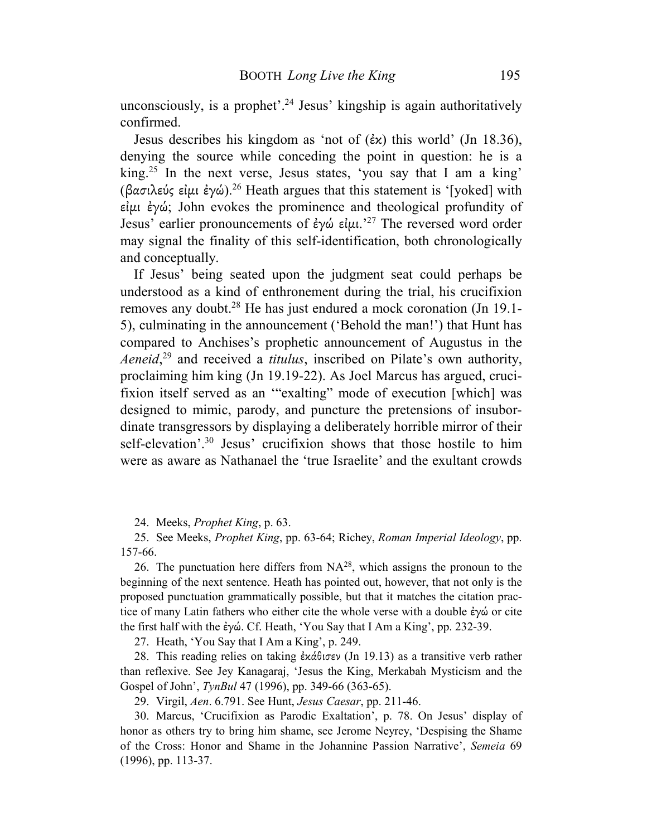unconsciously, is a prophet'.<sup>24</sup> Jesus' kingship is again authoritatively confirmed.

Jesus describes his kingdom as 'not of (ἐκ) this world' (Jn 18.36), denying the source while conceding the point in question: he is a king.<sup>25</sup> In the next verse, Jesus states, 'you say that I am a king' (βασιλεύς είμι έγώ).<sup>26</sup> Heath argues that this statement is '[yoked] with εἰµι ἐγώ; John evokes the prominence and theological profundity of Jesus' earlier pronouncements of ἐγώ εἰμι.<sup>'27</sup> The reversed word order may signal the finality of this self-identification, both chronologically and conceptually.

If Jesus' being seated upon the judgment seat could perhaps be understood as a kind of enthronement during the trial, his crucifixion removes any doubt.<sup>28</sup> He has just endured a mock coronation (Jn 19.1- 5), culminating in the announcement ('Behold the man!') that Hunt has compared to Anchises's prophetic announcement of Augustus in the *Aeneid*, <sup>29</sup> and received a *titulus*, inscribed on Pilate's own authority, proclaiming him king (Jn 19.19-22). As Joel Marcus has argued, crucifixion itself served as an '"exalting" mode of execution [which] was designed to mimic, parody, and puncture the pretensions of insubordinate transgressors by displaying a deliberately horrible mirror of their self-elevation'.<sup>30</sup> Jesus' crucifixion shows that those hostile to him were as aware as Nathanael the 'true Israelite' and the exultant crowds

24. Meeks, *Prophet King*, p. 63.

25. See Meeks, *Prophet King*, pp. 63-64; Richey, *Roman Imperial Ideology*, pp. 157-66.

26. The punctuation here differs from  $NA^{28}$ , which assigns the pronoun to the beginning of the next sentence. Heath has pointed out, however, that not only is the proposed punctuation grammatically possible, but that it matches the citation practice of many Latin fathers who either cite the whole verse with a double ἐγώ or cite the first half with the ἐγώ. Cf. Heath, 'You Say that I Am a King', pp. 232-39.

27. Heath, 'You Say that I Am a King', p. 249.

28. This reading relies on taking ἐκάθισεν (Jn 19.13) as a transitive verb rather than reflexive. See Jey Kanagaraj, 'Jesus the King, Merkabah Mysticism and the Gospel of John', *TynBul* 47 (1996), pp. 349-66 (363-65).

29. Virgil, *Aen*. 6.791. See Hunt, *Jesus Caesar*, pp. 211-46.

30. Marcus, 'Crucifixion as Parodic Exaltation', p. 78. On Jesus' display of honor as others try to bring him shame, see Jerome Neyrey, 'Despising the Shame of the Cross: Honor and Shame in the Johannine Passion Narrative', *Semeia* 69 (1996), pp. 113-37.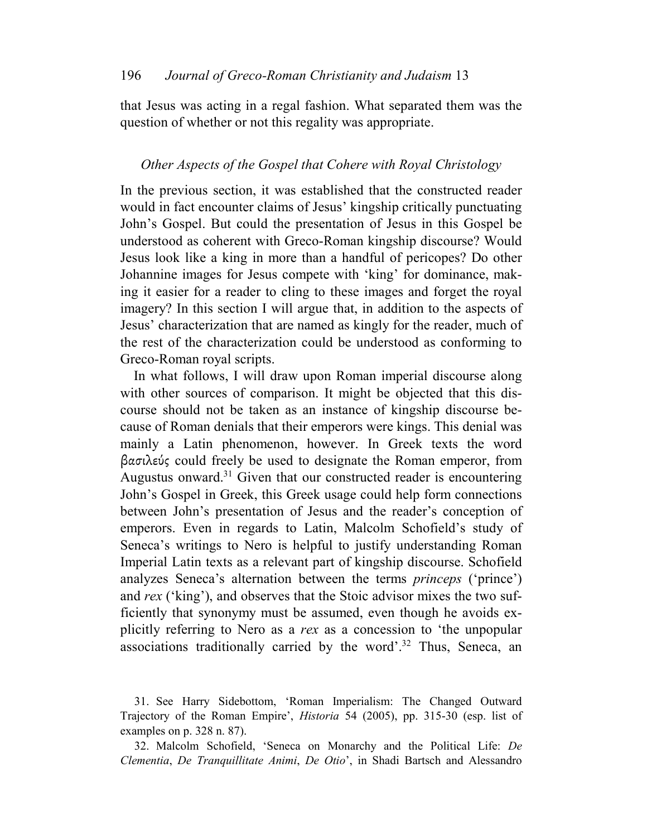that Jesus was acting in a regal fashion. What separated them was the question of whether or not this regality was appropriate.

## *Other Aspects of the Gospel that Cohere with Royal Christology*

In the previous section, it was established that the constructed reader would in fact encounter claims of Jesus' kingship critically punctuating John's Gospel. But could the presentation of Jesus in this Gospel be understood as coherent with Greco-Roman kingship discourse? Would Jesus look like a king in more than a handful of pericopes? Do other Johannine images for Jesus compete with 'king' for dominance, making it easier for a reader to cling to these images and forget the royal imagery? In this section I will argue that, in addition to the aspects of Jesus' characterization that are named as kingly for the reader, much of the rest of the characterization could be understood as conforming to Greco-Roman royal scripts.

In what follows, I will draw upon Roman imperial discourse along with other sources of comparison. It might be objected that this discourse should not be taken as an instance of kingship discourse because of Roman denials that their emperors were kings. This denial was mainly a Latin phenomenon, however. In Greek texts the word βασιλεύς could freely be used to designate the Roman emperor, from Augustus onward.<sup>31</sup> Given that our constructed reader is encountering John's Gospel in Greek, this Greek usage could help form connections between John's presentation of Jesus and the reader's conception of emperors. Even in regards to Latin, Malcolm Schofield's study of Seneca's writings to Nero is helpful to justify understanding Roman Imperial Latin texts as a relevant part of kingship discourse. Schofield analyzes Seneca's alternation between the terms *princeps* ('prince') and *rex* ('king'), and observes that the Stoic advisor mixes the two sufficiently that synonymy must be assumed, even though he avoids explicitly referring to Nero as a *rex* as a concession to 'the unpopular associations traditionally carried by the word'.<sup>32</sup> Thus, Seneca, an

31. See Harry Sidebottom, 'Roman Imperialism: The Changed Outward Trajectory of the Roman Empire', *Historia* 54 (2005), pp. 315-30 (esp. list of examples on p. 328 n. 87).

32. Malcolm Schofield, 'Seneca on Monarchy and the Political Life: *De Clementia*, *De Tranquillitate Animi*, *De Otio*', in Shadi Bartsch and Alessandro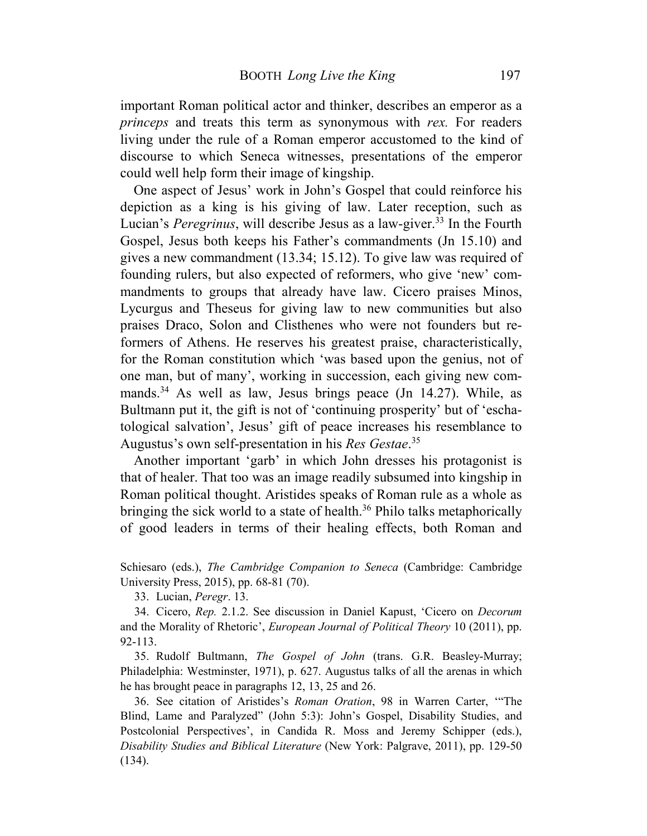important Roman political actor and thinker, describes an emperor as a *princeps* and treats this term as synonymous with *rex.* For readers living under the rule of a Roman emperor accustomed to the kind of discourse to which Seneca witnesses, presentations of the emperor could well help form their image of kingship.

One aspect of Jesus' work in John's Gospel that could reinforce his depiction as a king is his giving of law. Later reception, such as Lucian's *Peregrinus*, will describe Jesus as a law-giver.<sup>33</sup> In the Fourth Gospel, Jesus both keeps his Father's commandments (Jn 15.10) and gives a new commandment (13.34; 15.12). To give law was required of founding rulers, but also expected of reformers, who give 'new' commandments to groups that already have law. Cicero praises Minos, Lycurgus and Theseus for giving law to new communities but also praises Draco, Solon and Clisthenes who were not founders but reformers of Athens. He reserves his greatest praise, characteristically, for the Roman constitution which 'was based upon the genius, not of one man, but of many', working in succession, each giving new commands.<sup>34</sup> As well as law, Jesus brings peace (Jn 14.27). While, as Bultmann put it, the gift is not of 'continuing prosperity' but of 'eschatological salvation', Jesus' gift of peace increases his resemblance to Augustus's own self-presentation in his *Res Gestae*. 35

Another important 'garb' in which John dresses his protagonist is that of healer. That too was an image readily subsumed into kingship in Roman political thought. Aristides speaks of Roman rule as a whole as bringing the sick world to a state of health.<sup>36</sup> Philo talks metaphorically of good leaders in terms of their healing effects, both Roman and

Schiesaro (eds.), *The Cambridge Companion to Seneca* (Cambridge: Cambridge University Press, 2015), pp. 68-81 (70).

33. Lucian, *Peregr*. 13.

34. Cicero, *Rep.* 2.1.2. See discussion in Daniel Kapust, 'Cicero on *Decorum* and the Morality of Rhetoric', *European Journal of Political Theory* 10 (2011), pp. 92-113.

35. Rudolf Bultmann, *The Gospel of John* (trans. G.R. Beasley-Murray; Philadelphia: Westminster, 1971), p. 627. Augustus talks of all the arenas in which he has brought peace in paragraphs 12, 13, 25 and 26.

36. See citation of Aristides's *Roman Oration*, 98 in Warren Carter, '"The Blind, Lame and Paralyzed" (John 5:3): John's Gospel, Disability Studies, and Postcolonial Perspectives', in Candida R. Moss and Jeremy Schipper (eds.), *Disability Studies and Biblical Literature* (New York: Palgrave, 2011), pp. 129-50 (134).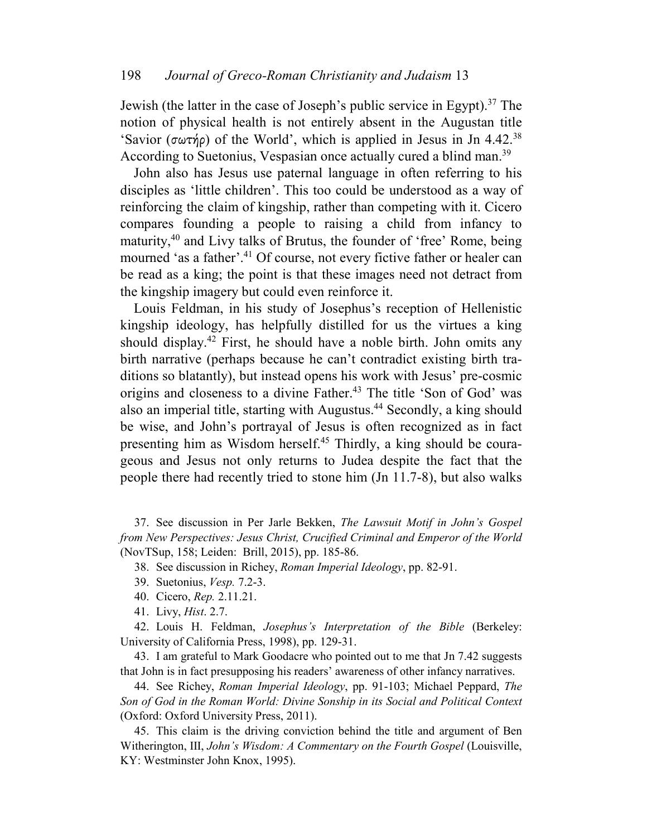Jewish (the latter in the case of Joseph's public service in Egypt).<sup>37</sup> The notion of physical health is not entirely absent in the Augustan title 'Savior (σωτήρ) of the World', which is applied in Jesus in Jn 4.42.<sup>38</sup> According to Suetonius, Vespasian once actually cured a blind man.<sup>39</sup>

John also has Jesus use paternal language in often referring to his disciples as 'little children'. This too could be understood as a way of reinforcing the claim of kingship, rather than competing with it. Cicero compares founding a people to raising a child from infancy to maturity,<sup>40</sup> and Livy talks of Brutus, the founder of 'free' Rome, being mourned 'as a father'.<sup>41</sup> Of course, not every fictive father or healer can be read as a king; the point is that these images need not detract from the kingship imagery but could even reinforce it.

Louis Feldman, in his study of Josephus's reception of Hellenistic kingship ideology, has helpfully distilled for us the virtues a king should display.<sup>42</sup> First, he should have a noble birth. John omits any birth narrative (perhaps because he can't contradict existing birth traditions so blatantly), but instead opens his work with Jesus' pre-cosmic origins and closeness to a divine Father.<sup>43</sup> The title 'Son of God' was also an imperial title, starting with Augustus.<sup>44</sup> Secondly, a king should be wise, and John's portrayal of Jesus is often recognized as in fact presenting him as Wisdom herself.<sup>45</sup> Thirdly, a king should be courageous and Jesus not only returns to Judea despite the fact that the people there had recently tried to stone him (Jn 11.7-8), but also walks

37. See discussion in Per Jarle Bekken, *The Lawsuit Motif in John's Gospel from New Perspectives: Jesus Christ, Crucified Criminal and Emperor of the World* (NovTSup, 158; Leiden: Brill, 2015), pp. 185-86.

38. See discussion in Richey, *Roman Imperial Ideology*, pp. 82-91.

- 39. Suetonius, *Vesp.* 7.2-3.
- 40. Cicero, *Rep.* 2.11.21.
- 41. Livy, *Hist*. 2.7.

42. Louis H. Feldman, *Josephus's Interpretation of the Bible* (Berkeley: University of California Press, 1998), pp. 129-31.

43. I am grateful to Mark Goodacre who pointed out to me that Jn 7.42 suggests that John is in fact presupposing his readers' awareness of other infancy narratives.

44. See Richey, *Roman Imperial Ideology*, pp. 91-103; Michael Peppard, *The Son of God in the Roman World: Divine Sonship in its Social and Political Context* (Oxford: Oxford University Press, 2011).

45. This claim is the driving conviction behind the title and argument of Ben Witherington, III, *John's Wisdom: A Commentary on the Fourth Gospel* (Louisville, KY: Westminster John Knox, 1995).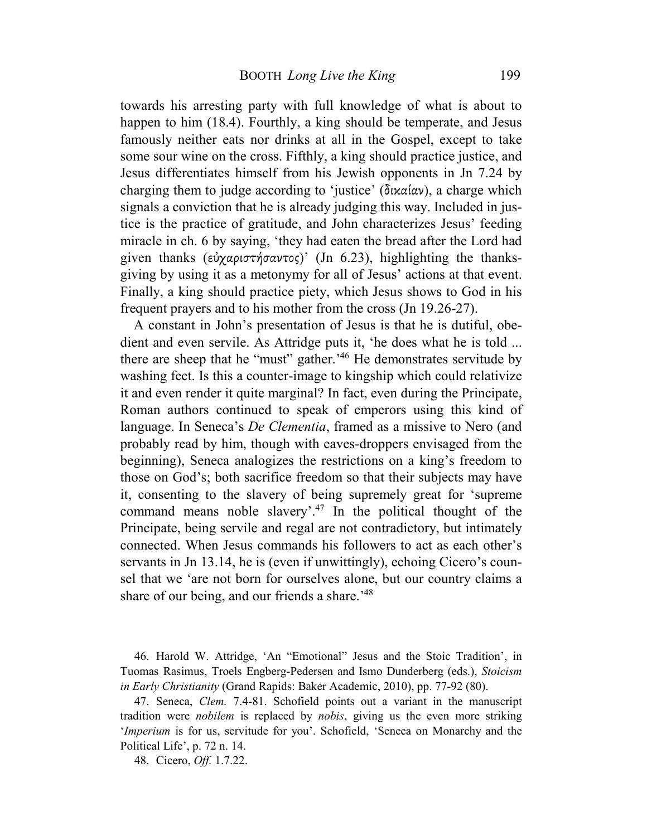towards his arresting party with full knowledge of what is about to happen to him (18.4). Fourthly, a king should be temperate, and Jesus famously neither eats nor drinks at all in the Gospel, except to take some sour wine on the cross. Fifthly, a king should practice justice, and Jesus differentiates himself from his Jewish opponents in Jn 7.24 by charging them to judge according to 'justice' (δικαίαν), a charge which signals a conviction that he is already judging this way. Included in justice is the practice of gratitude, and John characterizes Jesus' feeding miracle in ch. 6 by saying, 'they had eaten the bread after the Lord had given thanks (εὐχαριστήσαντος)' (Jn 6.23), highlighting the thanksgiving by using it as a metonymy for all of Jesus' actions at that event. Finally, a king should practice piety, which Jesus shows to God in his frequent prayers and to his mother from the cross (Jn 19.26-27).

A constant in John's presentation of Jesus is that he is dutiful, obedient and even servile. As Attridge puts it, 'he does what he is told ... there are sheep that he "must" gather.<sup>'46</sup> He demonstrates servitude by washing feet. Is this a counter-image to kingship which could relativize it and even render it quite marginal? In fact, even during the Principate, Roman authors continued to speak of emperors using this kind of language. In Seneca's *De Clementia*, framed as a missive to Nero (and probably read by him, though with eaves-droppers envisaged from the beginning), Seneca analogizes the restrictions on a king's freedom to those on God's; both sacrifice freedom so that their subjects may have it, consenting to the slavery of being supremely great for 'supreme command means noble slavery'.<sup>47</sup> In the political thought of the Principate, being servile and regal are not contradictory, but intimately connected. When Jesus commands his followers to act as each other's servants in Jn 13.14, he is (even if unwittingly), echoing Cicero's counsel that we 'are not born for ourselves alone, but our country claims a share of our being, and our friends a share.<sup>'48</sup>

46. Harold W. Attridge, 'An "Emotional" Jesus and the Stoic Tradition', in Tuomas Rasimus, Troels Engberg-Pedersen and Ismo Dunderberg (eds.), *Stoicism in Early Christianity* (Grand Rapids: Baker Academic, 2010), pp. 77-92 (80).

47. Seneca, *Clem.* 7.4-81. Schofield points out a variant in the manuscript tradition were *nobilem* is replaced by *nobis*, giving us the even more striking '*Imperium* is for us, servitude for you'. Schofield, 'Seneca on Monarchy and the Political Life', p. 72 n. 14.

48. Cicero, *Off.* 1.7.22.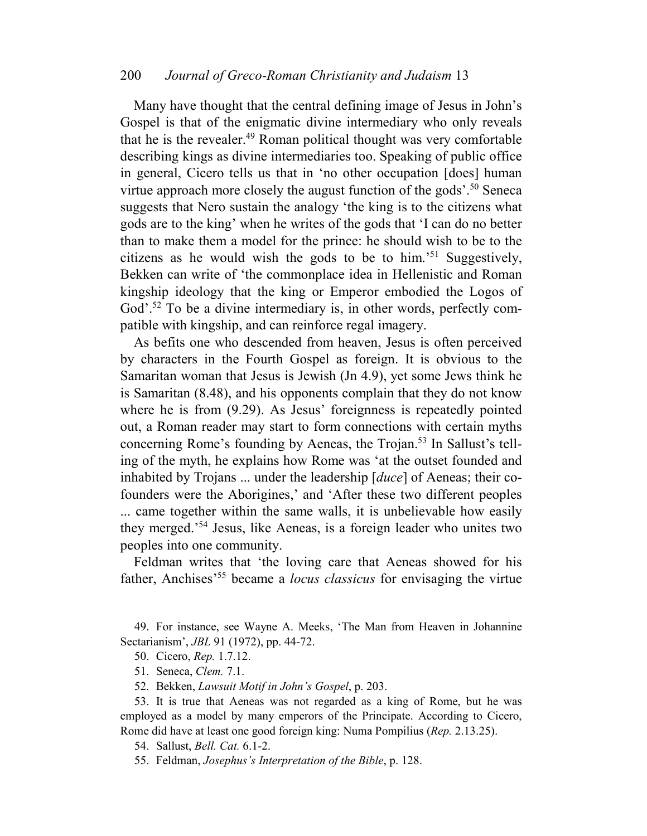Many have thought that the central defining image of Jesus in John's Gospel is that of the enigmatic divine intermediary who only reveals that he is the revealer.<sup>49</sup> Roman political thought was very comfortable describing kings as divine intermediaries too. Speaking of public office in general, Cicero tells us that in 'no other occupation [does] human virtue approach more closely the august function of the gods'.<sup>50</sup> Seneca suggests that Nero sustain the analogy 'the king is to the citizens what gods are to the king' when he writes of the gods that 'I can do no better than to make them a model for the prince: he should wish to be to the citizens as he would wish the gods to be to him.'<sup>51</sup> Suggestively, Bekken can write of 'the commonplace idea in Hellenistic and Roman kingship ideology that the king or Emperor embodied the Logos of God'.<sup>52</sup> To be a divine intermediary is, in other words, perfectly compatible with kingship, and can reinforce regal imagery.

As befits one who descended from heaven, Jesus is often perceived by characters in the Fourth Gospel as foreign. It is obvious to the Samaritan woman that Jesus is Jewish (Jn 4.9), yet some Jews think he is Samaritan (8.48), and his opponents complain that they do not know where he is from (9.29). As Jesus' foreignness is repeatedly pointed out, a Roman reader may start to form connections with certain myths concerning Rome's founding by Aeneas, the Trojan.<sup>53</sup> In Sallust's telling of the myth, he explains how Rome was 'at the outset founded and inhabited by Trojans ... under the leadership [*duce*] of Aeneas; their cofounders were the Aborigines,' and 'After these two different peoples ... came together within the same walls, it is unbelievable how easily they merged.'<sup>54</sup> Jesus, like Aeneas, is a foreign leader who unites two peoples into one community.

Feldman writes that 'the loving care that Aeneas showed for his father, Anchises'<sup>55</sup> became a *locus classicus* for envisaging the virtue

49. For instance, see Wayne A. Meeks, 'The Man from Heaven in Johannine Sectarianism', *JBL* 91 (1972), pp. 44-72.

50. Cicero, *Rep.* 1.7.12.

51. Seneca, *Clem.* 7.1.

52. Bekken, *Lawsuit Motif in John's Gospel*, p. 203.

53. It is true that Aeneas was not regarded as a king of Rome, but he was employed as a model by many emperors of the Principate. According to Cicero, Rome did have at least one good foreign king: Numa Pompilius (*Rep.* 2.13.25).

54. Sallust, *Bell. Cat.* 6.1-2.

55. Feldman, *Josephus's Interpretation of the Bible*, p. 128.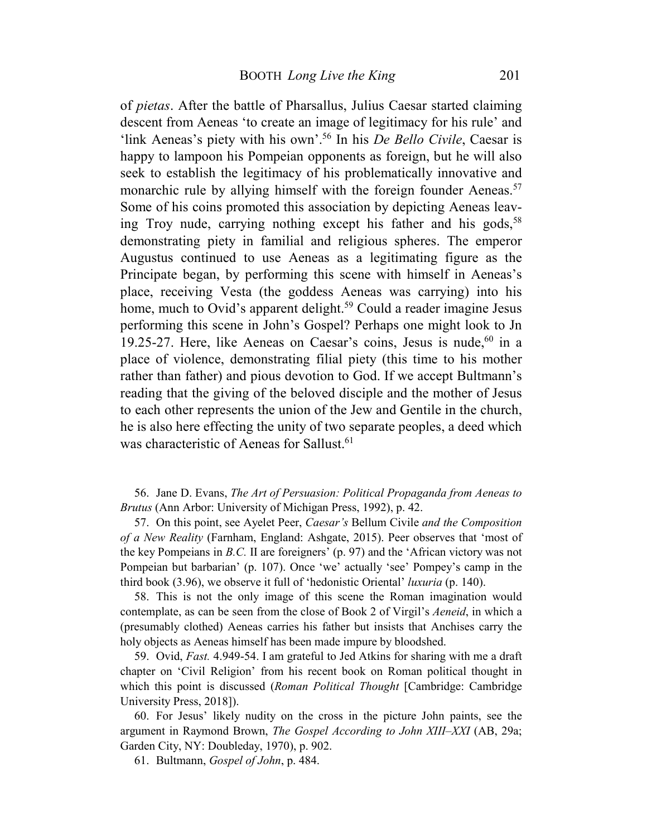of *pietas*. After the battle of Pharsallus, Julius Caesar started claiming descent from Aeneas 'to create an image of legitimacy for his rule' and 'link Aeneas's piety with his own'.<sup>56</sup> In his *De Bello Civile*, Caesar is happy to lampoon his Pompeian opponents as foreign, but he will also seek to establish the legitimacy of his problematically innovative and monarchic rule by allying himself with the foreign founder Aeneas.<sup>57</sup> Some of his coins promoted this association by depicting Aeneas leaving Troy nude, carrying nothing except his father and his gods,  $58$ demonstrating piety in familial and religious spheres. The emperor Augustus continued to use Aeneas as a legitimating figure as the Principate began, by performing this scene with himself in Aeneas's place, receiving Vesta (the goddess Aeneas was carrying) into his home, much to Ovid's apparent delight.<sup>59</sup> Could a reader imagine Jesus performing this scene in John's Gospel? Perhaps one might look to Jn 19.25-27. Here, like Aeneas on Caesar's coins, Jesus is nude,  $60$  in a place of violence, demonstrating filial piety (this time to his mother rather than father) and pious devotion to God. If we accept Bultmann's reading that the giving of the beloved disciple and the mother of Jesus to each other represents the union of the Jew and Gentile in the church, he is also here effecting the unity of two separate peoples, a deed which was characteristic of Aeneas for Sallust.<sup>61</sup>

56. Jane D. Evans, *The Art of Persuasion: Political Propaganda from Aeneas to Brutus* (Ann Arbor: University of Michigan Press, 1992), p. 42.

57. On this point, see Ayelet Peer, *Caesar's* Bellum Civile *and the Composition of a New Reality* (Farnham, England: Ashgate, 2015). Peer observes that 'most of the key Pompeians in *B.C.* II are foreigners' (p. 97) and the 'African victory was not Pompeian but barbarian' (p. 107). Once 'we' actually 'see' Pompey's camp in the third book (3.96), we observe it full of 'hedonistic Oriental' *luxuria* (p. 140).

58. This is not the only image of this scene the Roman imagination would contemplate, as can be seen from the close of Book 2 of Virgil's *Aeneid*, in which a (presumably clothed) Aeneas carries his father but insists that Anchises carry the holy objects as Aeneas himself has been made impure by bloodshed.

59. Ovid, *Fast.* 4.949-54. I am grateful to Jed Atkins for sharing with me a draft chapter on 'Civil Religion' from his recent book on Roman political thought in which this point is discussed (*Roman Political Thought* [Cambridge: Cambridge University Press, 2018]).

60. For Jesus' likely nudity on the cross in the picture John paints, see the argument in Raymond Brown, *The Gospel According to John XIII–XXI* (AB, 29a; Garden City, NY: Doubleday, 1970), p. 902.

61. Bultmann, *Gospel of John*, p. 484.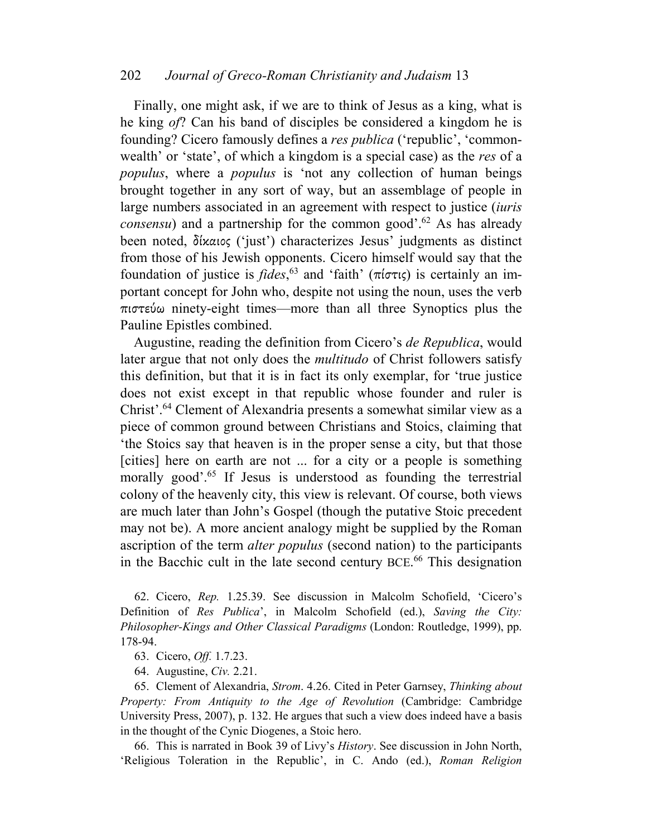Finally, one might ask, if we are to think of Jesus as a king, what is he king *of*? Can his band of disciples be considered a kingdom he is founding? Cicero famously defines a *res publica* ('republic', 'commonwealth' or 'state', of which a kingdom is a special case) as the *res* of a *populus*, where a *populus* is 'not any collection of human beings brought together in any sort of way, but an assemblage of people in large numbers associated in an agreement with respect to justice (*iuris consensu*) and a partnership for the common good<sup> $\cdot$ ,<sup>62</sup> As has already</sup> been noted, δίκαιος ('just') characterizes Jesus' judgments as distinct from those of his Jewish opponents. Cicero himself would say that the foundation of justice is *fides*, 63 and 'faith' (πίστις) is certainly an important concept for John who, despite not using the noun, uses the verb πιστεύω ninety-eight times—more than all three Synoptics plus the Pauline Epistles combined.

Augustine, reading the definition from Cicero's *de Republica*, would later argue that not only does the *multitudo* of Christ followers satisfy this definition, but that it is in fact its only exemplar, for 'true justice does not exist except in that republic whose founder and ruler is Christ'.<sup>64</sup> Clement of Alexandria presents a somewhat similar view as a piece of common ground between Christians and Stoics, claiming that 'the Stoics say that heaven is in the proper sense a city, but that those [cities] here on earth are not ... for a city or a people is something morally good'.<sup>65</sup> If Jesus is understood as founding the terrestrial colony of the heavenly city, this view is relevant. Of course, both views are much later than John's Gospel (though the putative Stoic precedent may not be). A more ancient analogy might be supplied by the Roman ascription of the term *alter populus* (second nation) to the participants in the Bacchic cult in the late second century BCE. <sup>66</sup> This designation

62. Cicero, *Rep.* 1.25.39. See discussion in Malcolm Schofield, 'Cicero's Definition of *Res Publica*', in Malcolm Schofield (ed.), *Saving the City: Philosopher-Kings and Other Classical Paradigms* (London: Routledge, 1999), pp. 178-94.

63. Cicero, *Off.* 1.7.23.

64. Augustine, *Civ.* 2.21.

65. Clement of Alexandria, *Strom*. 4.26. Cited in Peter Garnsey, *Thinking about Property: From Antiquity to the Age of Revolution* (Cambridge: Cambridge University Press, 2007), p. 132. He argues that such a view does indeed have a basis in the thought of the Cynic Diogenes, a Stoic hero.

66. This is narrated in Book 39 of Livy's *History*. See discussion in John North, 'Religious Toleration in the Republic', in C. Ando (ed.), *Roman Religion*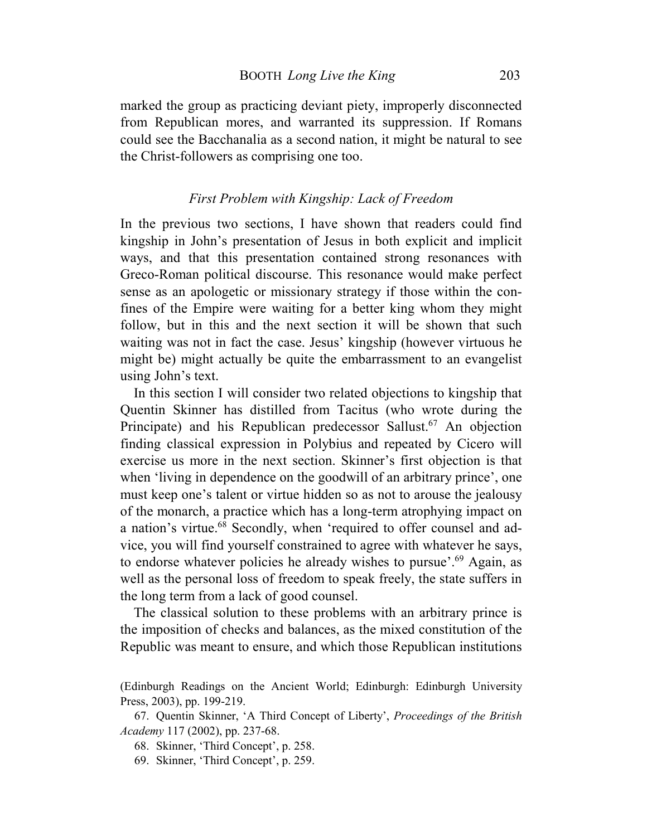marked the group as practicing deviant piety, improperly disconnected from Republican mores, and warranted its suppression. If Romans could see the Bacchanalia as a second nation, it might be natural to see the Christ-followers as comprising one too.

# *First Problem with Kingship: Lack of Freedom*

In the previous two sections, I have shown that readers could find kingship in John's presentation of Jesus in both explicit and implicit ways, and that this presentation contained strong resonances with Greco-Roman political discourse. This resonance would make perfect sense as an apologetic or missionary strategy if those within the confines of the Empire were waiting for a better king whom they might follow, but in this and the next section it will be shown that such waiting was not in fact the case. Jesus' kingship (however virtuous he might be) might actually be quite the embarrassment to an evangelist using John's text.

In this section I will consider two related objections to kingship that Quentin Skinner has distilled from Tacitus (who wrote during the Principate) and his Republican predecessor Sallust.<sup>67</sup> An objection finding classical expression in Polybius and repeated by Cicero will exercise us more in the next section. Skinner's first objection is that when 'living in dependence on the goodwill of an arbitrary prince', one must keep one's talent or virtue hidden so as not to arouse the jealousy of the monarch, a practice which has a long-term atrophying impact on a nation's virtue.<sup>68</sup> Secondly, when 'required to offer counsel and advice, you will find yourself constrained to agree with whatever he says, to endorse whatever policies he already wishes to pursue'.<sup>69</sup> Again, as well as the personal loss of freedom to speak freely, the state suffers in the long term from a lack of good counsel.

The classical solution to these problems with an arbitrary prince is the imposition of checks and balances, as the mixed constitution of the Republic was meant to ensure, and which those Republican institutions

<sup>(</sup>Edinburgh Readings on the Ancient World; Edinburgh: Edinburgh University Press, 2003), pp. 199-219.

<sup>67.</sup> Quentin Skinner, 'A Third Concept of Liberty', *Proceedings of the British Academy* 117 (2002), pp. 237-68.

<sup>68.</sup> Skinner, 'Third Concept', p. 258.

<sup>69.</sup> Skinner, 'Third Concept', p. 259.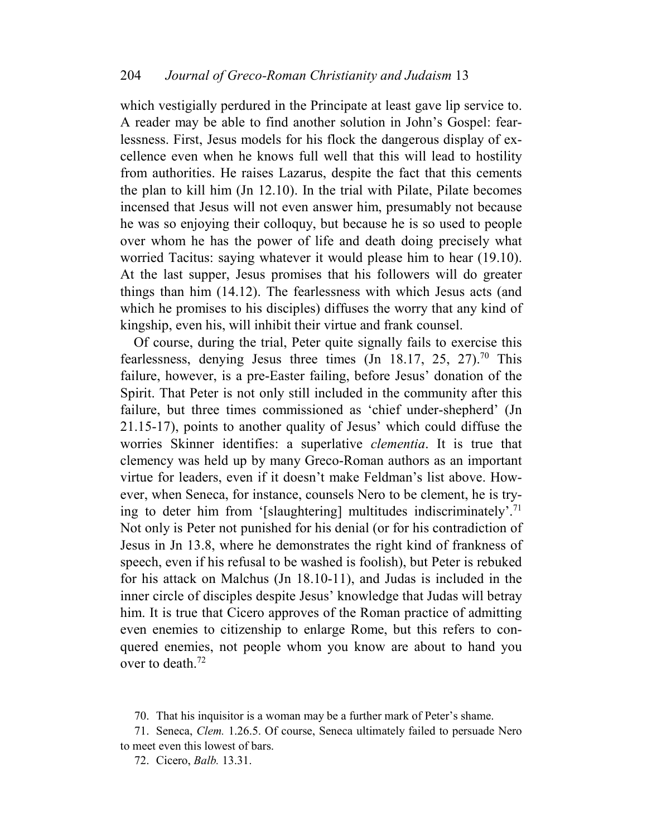which vestigially perdured in the Principate at least gave lip service to. A reader may be able to find another solution in John's Gospel: fearlessness. First, Jesus models for his flock the dangerous display of excellence even when he knows full well that this will lead to hostility from authorities. He raises Lazarus, despite the fact that this cements the plan to kill him (Jn 12.10). In the trial with Pilate, Pilate becomes incensed that Jesus will not even answer him, presumably not because he was so enjoying their colloquy, but because he is so used to people over whom he has the power of life and death doing precisely what worried Tacitus: saying whatever it would please him to hear (19.10). At the last supper, Jesus promises that his followers will do greater things than him (14.12). The fearlessness with which Jesus acts (and which he promises to his disciples) diffuses the worry that any kind of kingship, even his, will inhibit their virtue and frank counsel.

Of course, during the trial, Peter quite signally fails to exercise this fearlessness, denying Jesus three times  $($ Jn 18.17, 25, 27 $)^{70}$  This failure, however, is a pre-Easter failing, before Jesus' donation of the Spirit. That Peter is not only still included in the community after this failure, but three times commissioned as 'chief under-shepherd' (Jn 21.15-17), points to another quality of Jesus' which could diffuse the worries Skinner identifies: a superlative *clementia*. It is true that clemency was held up by many Greco-Roman authors as an important virtue for leaders, even if it doesn't make Feldman's list above. However, when Seneca, for instance, counsels Nero to be clement, he is trying to deter him from '[slaughtering] multitudes indiscriminately'.<sup>71</sup> Not only is Peter not punished for his denial (or for his contradiction of Jesus in Jn 13.8, where he demonstrates the right kind of frankness of speech, even if his refusal to be washed is foolish), but Peter is rebuked for his attack on Malchus (Jn 18.10-11), and Judas is included in the inner circle of disciples despite Jesus' knowledge that Judas will betray him. It is true that Cicero approves of the Roman practice of admitting even enemies to citizenship to enlarge Rome, but this refers to conquered enemies, not people whom you know are about to hand you over to death.<sup>72</sup>

<sup>70.</sup> That his inquisitor is a woman may be a further mark of Peter's shame.

<sup>71.</sup> Seneca, *Clem.* 1.26.5. Of course, Seneca ultimately failed to persuade Nero to meet even this lowest of bars.

<sup>72.</sup> Cicero, *Balb.* 13.31.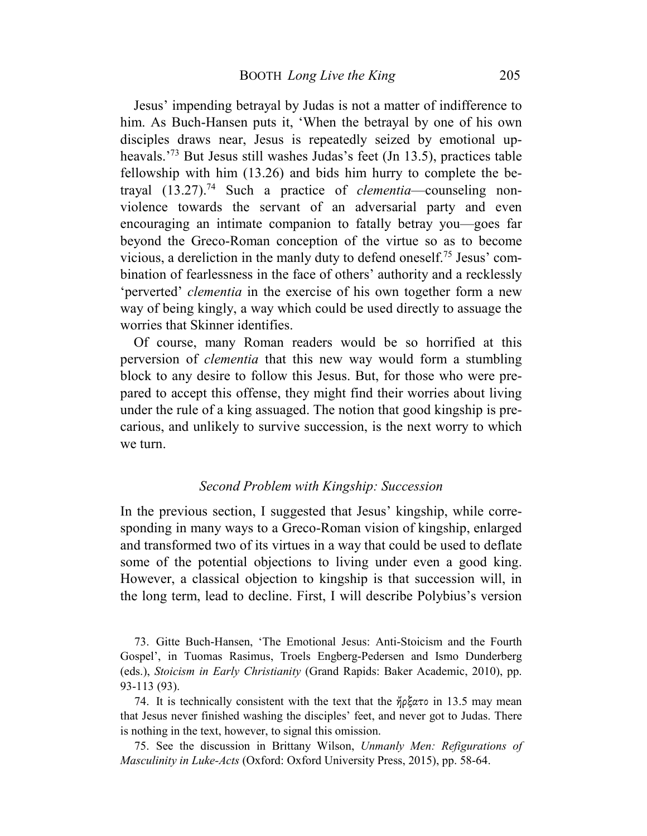Jesus' impending betrayal by Judas is not a matter of indifference to him. As Buch-Hansen puts it, 'When the betrayal by one of his own disciples draws near, Jesus is repeatedly seized by emotional upheavals.<sup>'73</sup> But Jesus still washes Judas's feet (Jn 13.5), practices table fellowship with him (13.26) and bids him hurry to complete the betrayal (13.27).<sup>74</sup> Such a practice of *clementia*—counseling nonviolence towards the servant of an adversarial party and even encouraging an intimate companion to fatally betray you—goes far beyond the Greco-Roman conception of the virtue so as to become vicious, a dereliction in the manly duty to defend oneself.75 Jesus' combination of fearlessness in the face of others' authority and a recklessly 'perverted' *clementia* in the exercise of his own together form a new way of being kingly, a way which could be used directly to assuage the worries that Skinner identifies.

Of course, many Roman readers would be so horrified at this perversion of *clementia* that this new way would form a stumbling block to any desire to follow this Jesus. But, for those who were prepared to accept this offense, they might find their worries about living under the rule of a king assuaged. The notion that good kingship is precarious, and unlikely to survive succession, is the next worry to which we turn.

#### *Second Problem with Kingship: Succession*

In the previous section, I suggested that Jesus' kingship, while corresponding in many ways to a Greco-Roman vision of kingship, enlarged and transformed two of its virtues in a way that could be used to deflate some of the potential objections to living under even a good king. However, a classical objection to kingship is that succession will, in the long term, lead to decline. First, I will describe Polybius's version

73. Gitte Buch-Hansen, 'The Emotional Jesus: Anti-Stoicism and the Fourth Gospel', in Tuomas Rasimus, Troels Engberg-Pedersen and Ismo Dunderberg (eds.), *Stoicism in Early Christianity* (Grand Rapids: Baker Academic, 2010), pp. 93-113 (93).

74. It is technically consistent with the text that the ἤρξατο in 13.5 may mean that Jesus never finished washing the disciples' feet, and never got to Judas. There is nothing in the text, however, to signal this omission.

75. See the discussion in Brittany Wilson, *Unmanly Men: Refigurations of Masculinity in Luke-Acts* (Oxford: Oxford University Press, 2015), pp. 58-64.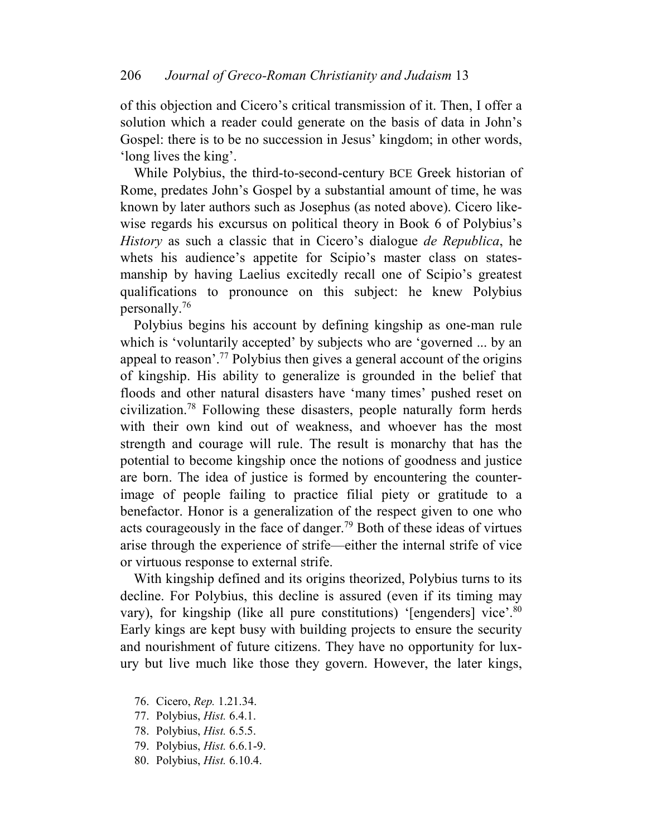of this objection and Cicero's critical transmission of it. Then, I offer a solution which a reader could generate on the basis of data in John's Gospel: there is to be no succession in Jesus' kingdom; in other words, 'long lives the king'.

While Polybius, the third-to-second-century BCE Greek historian of Rome, predates John's Gospel by a substantial amount of time, he was known by later authors such as Josephus (as noted above). Cicero likewise regards his excursus on political theory in Book 6 of Polybius's *History* as such a classic that in Cicero's dialogue *de Republica*, he whets his audience's appetite for Scipio's master class on statesmanship by having Laelius excitedly recall one of Scipio's greatest qualifications to pronounce on this subject: he knew Polybius personally.<sup>76</sup>

Polybius begins his account by defining kingship as one-man rule which is 'voluntarily accepted' by subjects who are 'governed ... by an appeal to reason'.<sup>77</sup> Polybius then gives a general account of the origins of kingship. His ability to generalize is grounded in the belief that floods and other natural disasters have 'many times' pushed reset on civilization.<sup>78</sup> Following these disasters, people naturally form herds with their own kind out of weakness, and whoever has the most strength and courage will rule. The result is monarchy that has the potential to become kingship once the notions of goodness and justice are born. The idea of justice is formed by encountering the counterimage of people failing to practice filial piety or gratitude to a benefactor. Honor is a generalization of the respect given to one who acts courageously in the face of danger.<sup>79</sup> Both of these ideas of virtues arise through the experience of strife—either the internal strife of vice or virtuous response to external strife.

With kingship defined and its origins theorized, Polybius turns to its decline. For Polybius, this decline is assured (even if its timing may vary), for kingship (like all pure constitutions) '[engenders] vice'.<sup>80</sup> Early kings are kept busy with building projects to ensure the security and nourishment of future citizens. They have no opportunity for luxury but live much like those they govern. However, the later kings,

- 76. Cicero, *Rep.* 1.21.34.
- 77. Polybius, *Hist.* 6.4.1.
- 78. Polybius, *Hist.* 6.5.5.
- 79. Polybius, *Hist.* 6.6.1-9.
- 80. Polybius, *Hist.* 6.10.4.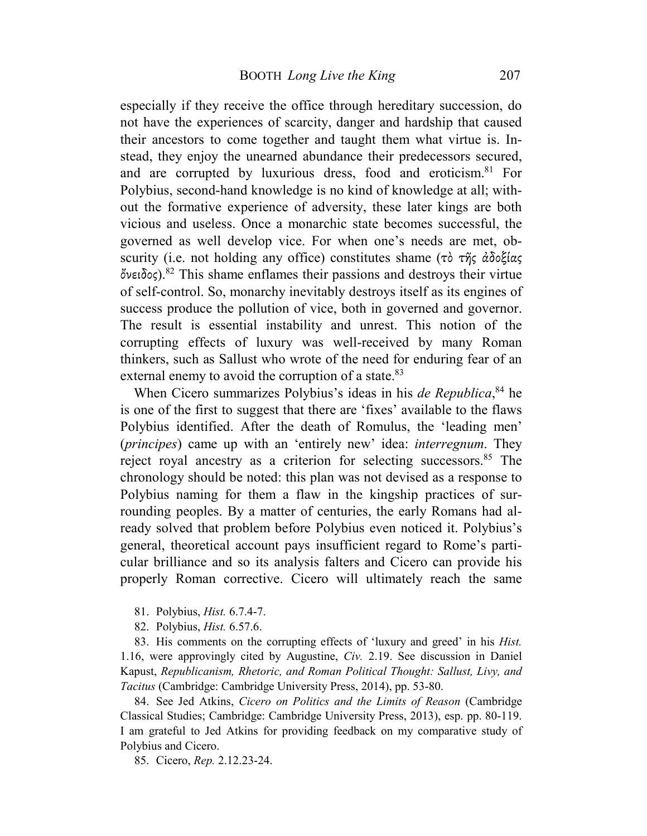especially if they receive the office through hereditary succession, do not have the experiences of scarcity, danger and hardship that caused their ancestors to come together and taught them what virtue is. Instead, they enjoy the unearned abundance their predecessors secured, and are corrupted by luxurious dress, food and eroticism.<sup>81</sup> For Polybius, second-hand knowledge is no kind of knowledge at all; without the formative experience of adversity, these later kings are both vicious and useless. Once a monarchic state becomes successful, the governed as well develop vice. For when one's needs are met, obscurity (i.e. not holding any office) constitutes shame (τὸ τῆς ἀδοξίας ὄνειδος).<sup>82</sup> This shame enflames their passions and destroys their virtue of self-control. So, monarchy inevitably destroys itself as its engines of success produce the pollution of vice, both in governed and governor. The result is essential instability and unrest. This notion of the corrupting effects of luxury was well-received by many Roman thinkers, such as Sallust who wrote of the need for enduring fear of an external enemy to avoid the corruption of a state.<sup>83</sup>

When Cicero summarizes Polybius's ideas in his *de Republica*, <sup>84</sup> he is one of the first to suggest that there are 'fixes' available to the flaws Polybius identified. After the death of Romulus, the 'leading men' (*principes*) came up with an 'entirely new' idea: *interregnum*. They reject royal ancestry as a criterion for selecting successors. $85$  The chronology should be noted: this plan was not devised as a response to Polybius naming for them a flaw in the kingship practices of surrounding peoples. By a matter of centuries, the early Romans had already solved that problem before Polybius even noticed it. Polybius's general, theoretical account pays insufficient regard to Rome's particular brilliance and so its analysis falters and Cicero can provide his properly Roman corrective. Cicero will ultimately reach the same

- 81. Polybius, *Hist.* 6.7.4-7.
- 82. Polybius, *Hist.* 6.57.6.

83. His comments on the corrupting effects of 'luxury and greed' in his *Hist.* 1.16, were approvingly cited by Augustine, *Civ.* 2.19. See discussion in Daniel Kapust, *Republicanism, Rhetoric, and Roman Political Thought: Sallust, Livy, and Tacitus* (Cambridge: Cambridge University Press, 2014), pp. 53-80.

84. See Jed Atkins, *Cicero on Politics and the Limits of Reason* (Cambridge Classical Studies; Cambridge: Cambridge University Press, 2013), esp. pp. 80-119. I am grateful to Jed Atkins for providing feedback on my comparative study of Polybius and Cicero.

85. Cicero, *Rep.* 2.12.23-24.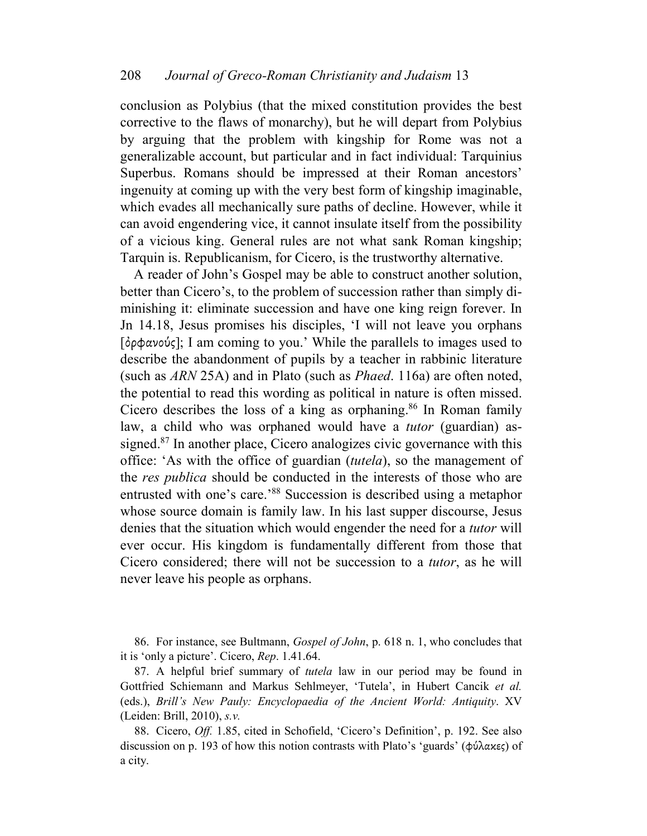conclusion as Polybius (that the mixed constitution provides the best corrective to the flaws of monarchy), but he will depart from Polybius by arguing that the problem with kingship for Rome was not a generalizable account, but particular and in fact individual: Tarquinius Superbus. Romans should be impressed at their Roman ancestors' ingenuity at coming up with the very best form of kingship imaginable, which evades all mechanically sure paths of decline. However, while it can avoid engendering vice, it cannot insulate itself from the possibility of a vicious king. General rules are not what sank Roman kingship; Tarquin is. Republicanism, for Cicero, is the trustworthy alternative.

A reader of John's Gospel may be able to construct another solution, better than Cicero's, to the problem of succession rather than simply diminishing it: eliminate succession and have one king reign forever. In Jn 14.18, Jesus promises his disciples, 'I will not leave you orphans [ὀρφανούς]; I am coming to you.' While the parallels to images used to describe the abandonment of pupils by a teacher in rabbinic literature (such as *ARN* 25A) and in Plato (such as *Phaed*. 116a) are often noted, the potential to read this wording as political in nature is often missed. Cicero describes the loss of a king as orphaning.<sup>86</sup> In Roman family law, a child who was orphaned would have a *tutor* (guardian) assigned.<sup>87</sup> In another place, Cicero analogizes civic governance with this office: 'As with the office of guardian (*tutela*), so the management of the *res publica* should be conducted in the interests of those who are entrusted with one's care.'<sup>88</sup> Succession is described using a metaphor whose source domain is family law. In his last supper discourse, Jesus denies that the situation which would engender the need for a *tutor* will ever occur. His kingdom is fundamentally different from those that Cicero considered; there will not be succession to a *tutor*, as he will never leave his people as orphans.

86. For instance, see Bultmann, *Gospel of John*, p. 618 n. 1, who concludes that it is 'only a picture'. Cicero, *Rep*. 1.41.64.

87. A helpful brief summary of *tutela* law in our period may be found in Gottfried Schiemann and Markus Sehlmeyer, 'Tutela', in Hubert Cancik *et al.*  (eds.), *Brill's New Pauly: Encyclopaedia of the Ancient World: Antiquity*. XV (Leiden: Brill, 2010), *s.v.*

88. Cicero, *Off.* 1.85, cited in Schofield, 'Cicero's Definition', p. 192. See also discussion on p. 193 of how this notion contrasts with Plato's 'guards' (φύλακες) of a city.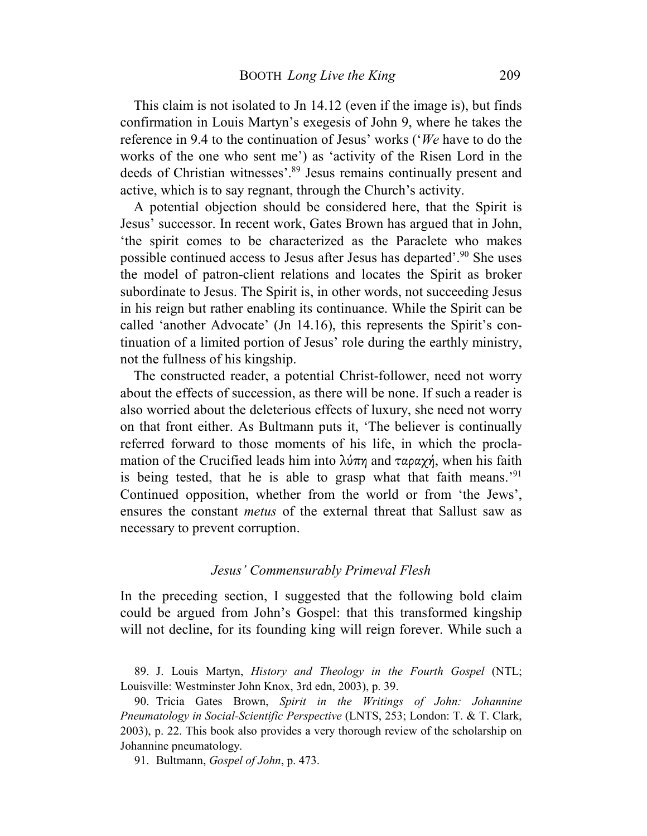This claim is not isolated to Jn 14.12 (even if the image is), but finds confirmation in Louis Martyn's exegesis of John 9, where he takes the reference in 9.4 to the continuation of Jesus' works ('*We* have to do the works of the one who sent me') as 'activity of the Risen Lord in the deeds of Christian witnesses'.<sup>89</sup> Jesus remains continually present and active, which is to say regnant, through the Church's activity.

A potential objection should be considered here, that the Spirit is Jesus' successor. In recent work, Gates Brown has argued that in John, 'the spirit comes to be characterized as the Paraclete who makes possible continued access to Jesus after Jesus has departed'.<sup>90</sup> She uses the model of patron-client relations and locates the Spirit as broker subordinate to Jesus. The Spirit is, in other words, not succeeding Jesus in his reign but rather enabling its continuance. While the Spirit can be called 'another Advocate' (Jn 14.16), this represents the Spirit's continuation of a limited portion of Jesus' role during the earthly ministry, not the fullness of his kingship.

The constructed reader, a potential Christ-follower, need not worry about the effects of succession, as there will be none. If such a reader is also worried about the deleterious effects of luxury, she need not worry on that front either. As Bultmann puts it, 'The believer is continually referred forward to those moments of his life, in which the proclamation of the Crucified leads him into  $\lambda \nu \pi \eta$  and  $\tau \alpha \rho \alpha \gamma \gamma$ , when his faith is being tested, that he is able to grasp what that faith means.'<sup>91</sup> Continued opposition, whether from the world or from 'the Jews', ensures the constant *metus* of the external threat that Sallust saw as necessary to prevent corruption.

#### *Jesus' Commensurably Primeval Flesh*

In the preceding section, I suggested that the following bold claim could be argued from John's Gospel: that this transformed kingship will not decline, for its founding king will reign forever. While such a

89. J. Louis Martyn, *History and Theology in the Fourth Gospel* (NTL; Louisville: Westminster John Knox, 3rd edn, 2003), p. 39.

90. Tricia Gates Brown, *Spirit in the Writings of John: Johannine Pneumatology in Social-Scientific Perspective* (LNTS, 253; London: T. & T. Clark, 2003), p. 22. This book also provides a very thorough review of the scholarship on Johannine pneumatology.

91. Bultmann, *Gospel of John*, p. 473.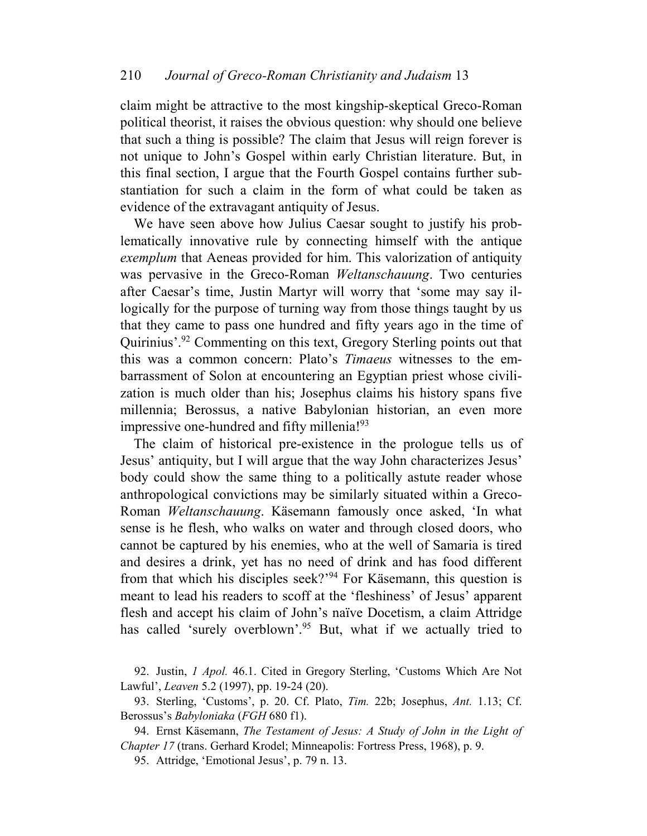claim might be attractive to the most kingship-skeptical Greco-Roman political theorist, it raises the obvious question: why should one believe that such a thing is possible? The claim that Jesus will reign forever is not unique to John's Gospel within early Christian literature. But, in this final section, I argue that the Fourth Gospel contains further substantiation for such a claim in the form of what could be taken as evidence of the extravagant antiquity of Jesus.

We have seen above how Julius Caesar sought to justify his problematically innovative rule by connecting himself with the antique *exemplum* that Aeneas provided for him. This valorization of antiquity was pervasive in the Greco-Roman *Weltanschauung*. Two centuries after Caesar's time, Justin Martyr will worry that 'some may say illogically for the purpose of turning way from those things taught by us that they came to pass one hundred and fifty years ago in the time of Quirinius'.<sup>92</sup> Commenting on this text, Gregory Sterling points out that this was a common concern: Plato's *Timaeus* witnesses to the embarrassment of Solon at encountering an Egyptian priest whose civilization is much older than his; Josephus claims his history spans five millennia; Berossus, a native Babylonian historian, an even more impressive one-hundred and fifty millenia!<sup>93</sup>

The claim of historical pre-existence in the prologue tells us of Jesus' antiquity, but I will argue that the way John characterizes Jesus' body could show the same thing to a politically astute reader whose anthropological convictions may be similarly situated within a Greco-Roman *Weltanschauung*. Käsemann famously once asked, 'In what sense is he flesh, who walks on water and through closed doors, who cannot be captured by his enemies, who at the well of Samaria is tired and desires a drink, yet has no need of drink and has food different from that which his disciples seek?'<sup>94</sup> For Käsemann, this question is meant to lead his readers to scoff at the 'fleshiness' of Jesus' apparent flesh and accept his claim of John's naïve Docetism, a claim Attridge has called 'surely overblown'.<sup>95</sup> But, what if we actually tried to

92. Justin, *1 Apol.* 46.1. Cited in Gregory Sterling, 'Customs Which Are Not Lawful', *Leaven* 5.2 (1997), pp. 19-24 (20).

93. Sterling, 'Customs', p. 20. Cf. Plato, *Tim.* 22b; Josephus, *Ant.* 1.13; Cf. Berossus's *Babyloniaka* (*FGH* 680 f1).

94. Ernst Käsemann, *The Testament of Jesus: A Study of John in the Light of Chapter 17* (trans. Gerhard Krodel; Minneapolis: Fortress Press, 1968), p. 9.

95. Attridge, 'Emotional Jesus', p. 79 n. 13.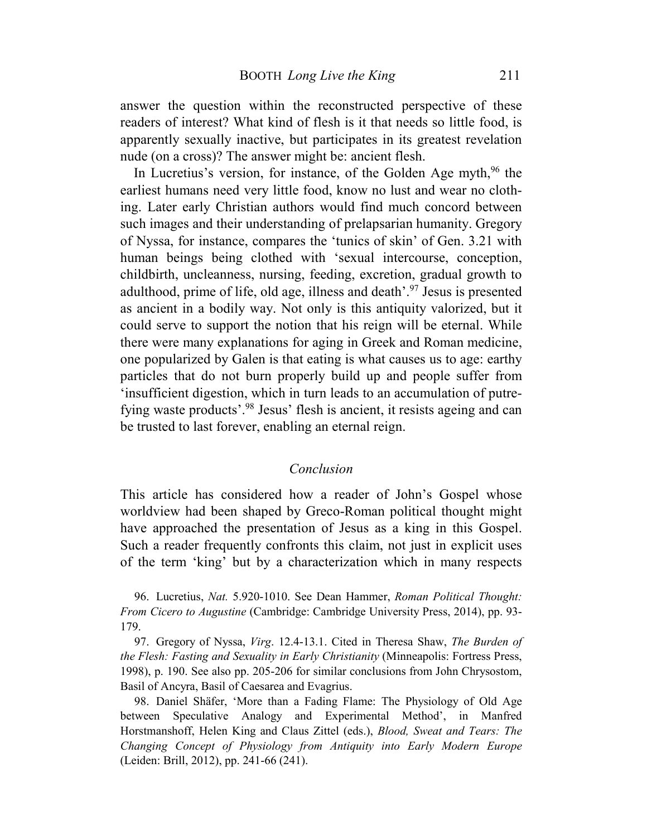answer the question within the reconstructed perspective of these readers of interest? What kind of flesh is it that needs so little food, is apparently sexually inactive, but participates in its greatest revelation nude (on a cross)? The answer might be: ancient flesh.

In Lucretius's version, for instance, of the Golden Age myth, <sup>96</sup> the earliest humans need very little food, know no lust and wear no clothing. Later early Christian authors would find much concord between such images and their understanding of prelapsarian humanity. Gregory of Nyssa, for instance, compares the 'tunics of skin' of Gen. 3.21 with human beings being clothed with 'sexual intercourse, conception, childbirth, uncleanness, nursing, feeding, excretion, gradual growth to adulthood, prime of life, old age, illness and death'.<sup>97</sup> Jesus is presented as ancient in a bodily way. Not only is this antiquity valorized, but it could serve to support the notion that his reign will be eternal. While there were many explanations for aging in Greek and Roman medicine, one popularized by Galen is that eating is what causes us to age: earthy particles that do not burn properly build up and people suffer from 'insufficient digestion, which in turn leads to an accumulation of putrefying waste products'.<sup>98</sup> Jesus' flesh is ancient, it resists ageing and can be trusted to last forever, enabling an eternal reign.

#### *Conclusion*

This article has considered how a reader of John's Gospel whose worldview had been shaped by Greco-Roman political thought might have approached the presentation of Jesus as a king in this Gospel. Such a reader frequently confronts this claim, not just in explicit uses of the term 'king' but by a characterization which in many respects

96. Lucretius, *Nat.* 5.920-1010. See Dean Hammer, *Roman Political Thought: From Cicero to Augustine* (Cambridge: Cambridge University Press, 2014), pp. 93- 179.

97. Gregory of Nyssa, *Virg*. 12.4-13.1. Cited in Theresa Shaw, *The Burden of the Flesh: Fasting and Sexuality in Early Christianity* (Minneapolis: Fortress Press, 1998), p. 190. See also pp. 205-206 for similar conclusions from John Chrysostom, Basil of Ancyra, Basil of Caesarea and Evagrius.

98. Daniel Shäfer, 'More than a Fading Flame: The Physiology of Old Age between Speculative Analogy and Experimental Method', in Manfred Horstmanshoff, Helen King and Claus Zittel (eds.), *Blood, Sweat and Tears: The Changing Concept of Physiology from Antiquity into Early Modern Europe* (Leiden: Brill, 2012), pp. 241-66 (241).